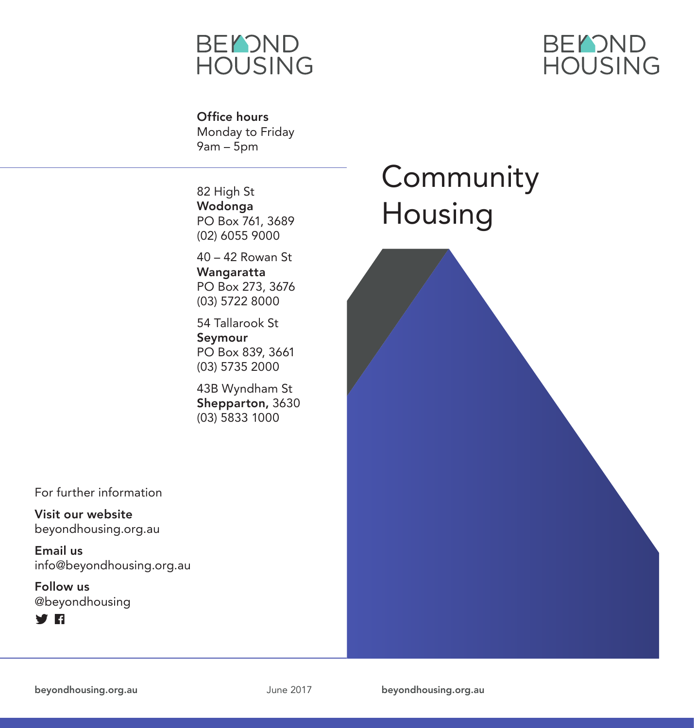



Office hours Monday to Friday  $9am - 5pm$ 

82 High St Wodonga PO Box 761, 3689 (02) 6055 9000

40 – 42 Rowan St Wangaratta PO Box 273, 3676 (03) 5722 8000

54 Tallarook St Seymour PO Box 839, 3661 (03) 5735 2000

43B Wyndham St Shepparton, 3630 (03) 5833 1000

## Community Housing

For further information

Visit our website beyondhousing.org.au

Email us info@beyondhousing.org.au

Follow us @beyondhousing



beyondhousing.org.au June 2017